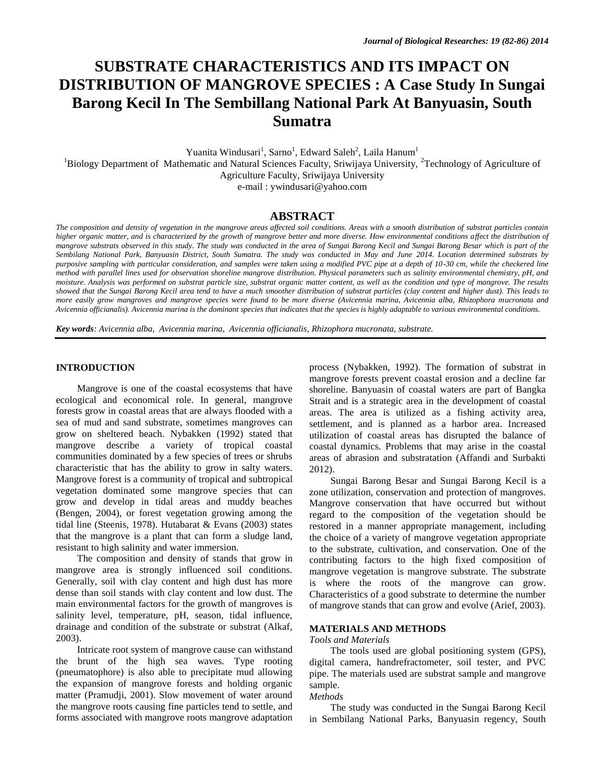# **SUBSTRATE CHARACTERISTICS AND ITS IMPACT ON DISTRIBUTION OF MANGROVE SPECIES : A Case Study In Sungai Barong Kecil In The Sembillang National Park At Banyuasin, South Sumatra**

Yuanita Windusari<sup>1</sup>, Sarno<sup>1</sup>, Edward Saleh<sup>2</sup>, Laila Hanum<sup>1</sup>

<sup>1</sup>Biology Department of Mathematic and Natural Sciences Faculty, Sriwijaya University, <sup>2</sup>Technology of Agriculture of Agriculture Faculty, Sriwijaya University

e-mail : [ywindusari@yahoo.com](mailto:ywindusari@yahoo.com)

# **ABSTRACT**

*The composition and density of vegetation in the mangrove areas affected soil conditions. Areas with a smooth distribution of substrat particles contain higher organic matter, and is characterized by the growth of mangrove better and more diverse. How environmental conditions affect the distribution of mangrove substrats observed in this study. The study was conducted in the area of Sungai Barong Kecil and Sungai Barong Besar which is part of the Sembilang National Park, Banyuasin District, South Sumatra. The study was conducted in May and June 2014. Location determined substrats by purposive sampling with particular consideration, and samples were taken using a modified PVC pipe at a depth of 10-30 cm, while the checkered line method with parallel lines used for observation shoreline mangrove distribution. Physical parameters such as salinity environmental chemistry, pH, and moisture. Analysis was performed on substrat particle size, substrat organic matter content, as well as the condition and type of mangrove. The results showed that the Sungai Barong Kecil area tend to have a much smoother distribution of substrat particles (clay content and higher dust). This leads to more easily grow mangroves and mangrove species were found to be more diverse (Avicennia marina, Avicennia alba, Rhizophora mucronata and Avicennia officianalis). Avicennia marina is the dominant species that indicates that the species is highly adaptable to various environmental conditions.*

*Key words: Avicennia alba, Avicennia marina, Avicennia officianalis, Rhizophora mucronata, substrate.*

## **INTRODUCTION**

Mangrove is one of the coastal ecosystems that have ecological and economical role. In general, mangrove forests grow in coastal areas that are always flooded with a sea of mud and sand substrate, sometimes mangroves can grow on sheltered beach. Nybakken (1992) stated that mangrove describe a variety of tropical coastal communities dominated by a few species of trees or shrubs characteristic that has the ability to grow in salty waters. Mangrove forest is a community of tropical and subtropical vegetation dominated some mangrove species that can grow and develop in tidal areas and muddy beaches (Bengen, 2004), or forest vegetation growing among the tidal line (Steenis, 1978). Hutabarat & Evans (2003) states that the mangrove is a plant that can form a sludge land, resistant to high salinity and water immersion.

The composition and density of stands that grow in mangrove area is strongly influenced soil conditions. Generally, soil with clay content and high dust has more dense than soil stands with clay content and low dust. The main environmental factors for the growth of mangroves is salinity level, temperature, pH, season, tidal influence, drainage and condition of the substrate or substrat (Alkaf, 2003).

Intricate root system of mangrove cause can withstand the brunt of the high sea waves. Type rooting (pneumatophore) is also able to precipitate mud allowing the expansion of mangrove forests and holding organic matter (Pramudji, 2001). Slow movement of water around the mangrove roots causing fine particles tend to settle, and forms associated with mangrove roots mangrove adaptation process (Nybakken, 1992). The formation of substrat in mangrove forests prevent coastal erosion and a decline far shoreline. Banyuasin of coastal waters are part of Bangka Strait and is a strategic area in the development of coastal areas. The area is utilized as a fishing activity area, settlement, and is planned as a harbor area. Increased utilization of coastal areas has disrupted the balance of coastal dynamics. Problems that may arise in the coastal areas of abrasion and substratation (Affandi and Surbakti 2012).

Sungai Barong Besar and Sungai Barong Kecil is a zone utilization, conservation and protection of mangroves. Mangrove conservation that have occurred but without regard to the composition of the vegetation should be restored in a manner appropriate management, including the choice of a variety of mangrove vegetation appropriate to the substrate, cultivation, and conservation. One of the contributing factors to the high fixed composition of mangrove vegetation is mangrove substrate. The substrate is where the roots of the mangrove can grow. Characteristics of a good substrate to determine the number of mangrove stands that can grow and evolve (Arief, 2003).

#### **MATERIALS AND METHODS**

#### *Tools and Materials*

The tools used are global positioning system (GPS), digital camera, handrefractometer, soil tester, and PVC pipe. The materials used are substrat sample and mangrove sample.

## *Methods*

The study was conducted in the Sungai Barong Kecil in Sembilang National Parks, Banyuasin regency, South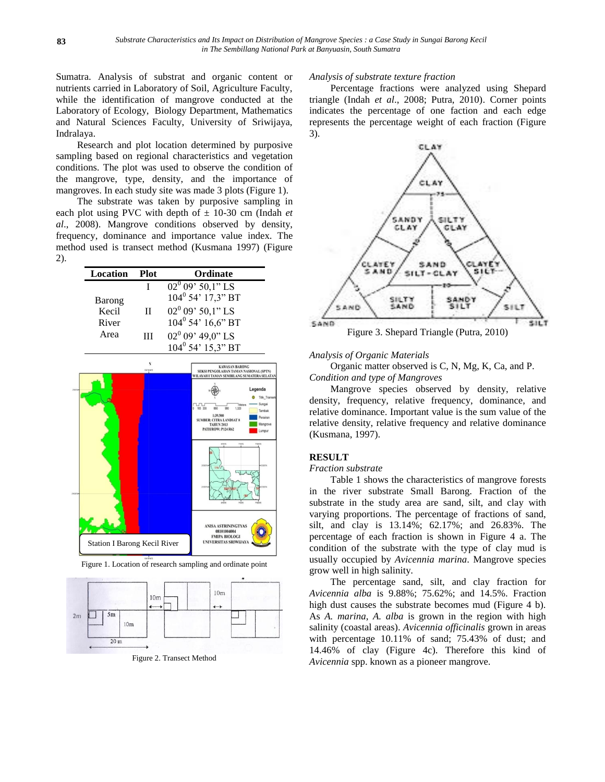Sumatra. Analysis of substrat and organic content or nutrients carried in Laboratory of Soil, Agriculture Faculty, while the identification of mangrove conducted at the Laboratory of Ecology, Biology Department, Mathematics and Natural Sciences Faculty, University of Sriwijaya, Indralaya.

Research and plot location determined by purposive sampling based on regional characteristics and vegetation conditions. The plot was used to observe the condition of the mangrove, type, density, and the importance of mangroves. In each study site was made 3 plots (Figure 1).

The substrate was taken by purposive sampling in each plot using PVC with depth of  $\pm$  10-30 cm (Indah *et al*., 2008). Mangrove conditions observed by density, frequency, dominance and importance value index. The method used is transect method (Kusmana 1997) (Figure 2).

| Location | <b>Plot</b>  | Ordinate                      |
|----------|--------------|-------------------------------|
|          |              | $02^0$ 09' 50,1" LS           |
| Barong   |              | $104^0$ 54' $17.3$ " BT       |
| Kecil    | $\mathbf{H}$ | $02^0 09' 50,1''$ LS          |
| River    |              | $104^{\circ}$ 54' $16.6$ " BT |
| Area     | Ш            | 02 $^{0}$ 09' 49,0" LS        |
|          |              | $104^{\circ}$ 54' $15.3$ " BT |



Figure 1. Location of research sampling and ordinate point



Figure 2. Transect Method

## *Analysis of substrate texture fraction*

Percentage fractions were analyzed using Shepard triangle (Indah *et al*., 2008; Putra, 2010). Corner points indicates the percentage of one faction and each edge represents the percentage weight of each fraction (Figure 3).



#### *Analysis of Organic Materials*

Organic matter observed is C, N, Mg, K, Ca, and P. *Condition and type of Mangroves*

Mangrove species observed by density, relative density, frequency, relative frequency, dominance, and relative dominance. Important value is the sum value of the relative density, relative frequency and relative dominance (Kusmana, 1997).

## **RESULT**

## *Fraction substrate*

Table 1 shows the characteristics of mangrove forests in the river substrate Small Barong. Fraction of the substrate in the study area are sand, silt, and clay with varying proportions. The percentage of fractions of sand, silt, and clay is 13.14%; 62.17%; and 26.83%. The percentage of each fraction is shown in Figure 4 a. The condition of the substrate with the type of clay mud is usually occupied by *Avicennia marina*. Mangrove species grow well in high salinity.

The percentage sand, silt, and clay fraction for *Avicennia alba* is 9.88%; 75.62%; and 14.5%. Fraction high dust causes the substrate becomes mud (Figure 4 b). As *A. marina*, *A. alba* is grown in the region with high salinity (coastal areas). *Avicennia officinalis* grown in areas with percentage 10.11% of sand; 75.43% of dust; and 14.46% of clay (Figure 4c). Therefore this kind of *Avicennia* spp. known as a pioneer mangrove.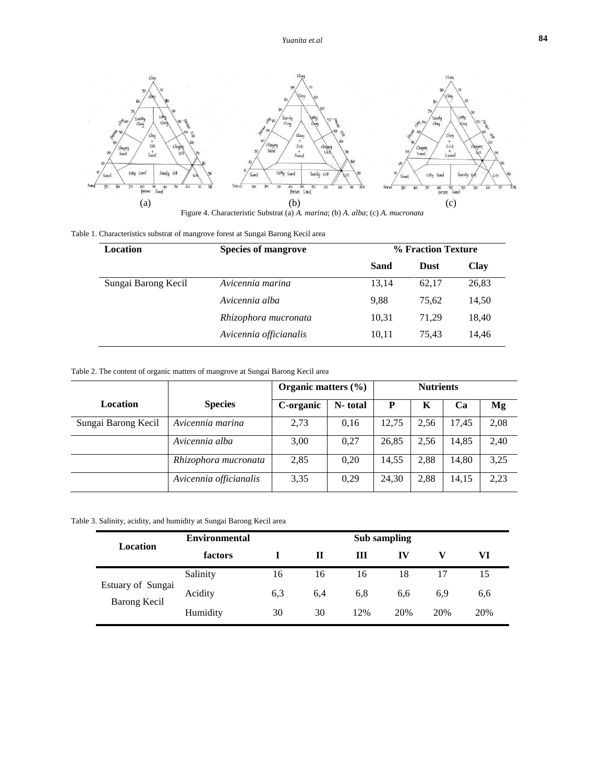

Figure 4. Characteristic Substrat (a) *A. marina*; (b) *A. alba*; (c) *A. mucronata*

|  |  | Table 1. Characteristics substrat of mangrove forest at Sungai Barong Kecil area |
|--|--|----------------------------------------------------------------------------------|
|  |  |                                                                                  |

| Location            | <b>Species of mangrove</b> |       | % Fraction Texture |             |  |
|---------------------|----------------------------|-------|--------------------|-------------|--|
|                     |                            | Sand  | <b>Dust</b>        | <b>Clay</b> |  |
| Sungai Barong Kecil | Avicennia marina           | 13,14 | 62.17              | 26,83       |  |
|                     | Avicennia alba             | 9.88  | 75.62              | 14,50       |  |
|                     | Rhizophora mucronata       | 10,31 | 71.29              | 18,40       |  |
|                     | Avicennia officianalis     | 10,11 | 75.43              | 14,46       |  |

## Table 2. The content of organic matters of mangrove at Sungai Barong Kecil area

|                     |                        | Organic matters $(\% )$ | <b>Nutrients</b> |       |      |       |      |
|---------------------|------------------------|-------------------------|------------------|-------|------|-------|------|
| Location            | <b>Species</b>         | C-organic               | N-total          | P     | K    | Cа    | Mg   |
| Sungai Barong Kecil | Avicennia marina       | 2,73                    | 0,16             | 12.75 | 2,56 | 17,45 | 2,08 |
|                     | Avicennia alba         | 3,00                    | 0.27             | 26,85 | 2,56 | 14,85 | 2,40 |
|                     | Rhizophora mucronata   | 2,85                    | 0.20             | 14,55 | 2.88 | 14,80 | 3.25 |
|                     | Avicennia officianalis | 3,35                    | 0.29             | 24,30 | 2.88 | 14,15 | 2,23 |

Table 3. Salinity, acidity, and humidity at Sungai Barong Kecil area

| Location                          | <b>Environmental</b><br>Sub sampling |     |     |     |     |     |     |
|-----------------------------------|--------------------------------------|-----|-----|-----|-----|-----|-----|
|                                   | factors                              |     | П   | Ш   | IV  |     | VI  |
|                                   | Salinity                             | 16  | 16  | 16  | 18  |     | 15  |
| Estuary of Sungai<br>Barong Kecil | Acidity                              | 6,3 | 6,4 | 6,8 | 6,6 | 6.9 | 6,6 |
|                                   | Humidity                             | 30  | 30  | 12% | 20% | 20% | 20% |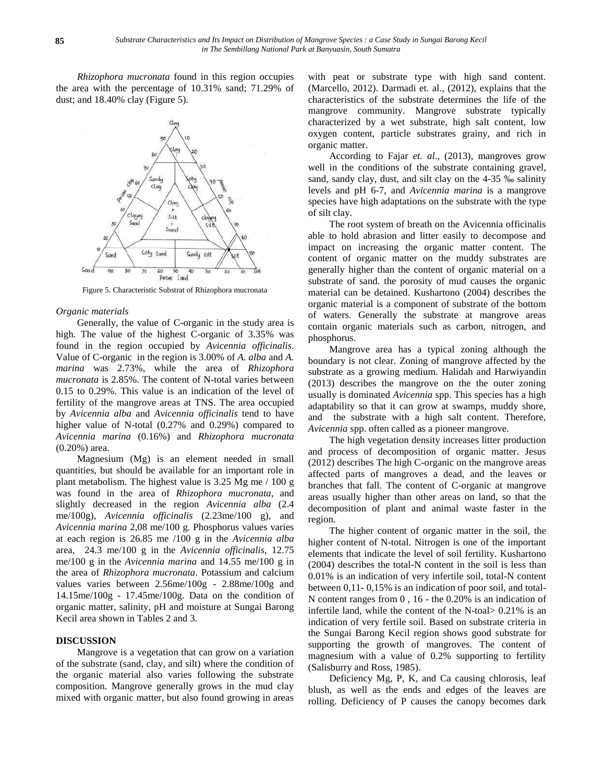*Rhizophora mucronata* found in this region occupies the area with the percentage of 10.31% sand; 71.29% of dust; and 18.40% clay (Figure 5).

Figure 5. Characteristic Substrat of Rhizophora mucronata

*Organic materials* 

Generally, the value of C-organic in the study area is high. The value of the highest C-organic of 3.35% was found in the region occupied by *Avicennia officinalis*. Value of C-organic in the region is 3.00% of *A. alba* and *A. marina* was 2.73%, while the area of *Rhizophora mucronata* is 2.85%. The content of N-total varies between 0.15 to 0.29%. This value is an indication of the level of fertility of the mangrove areas at TNS. The area occupied by *Avicennia alba* and *Avicennia officinalis* tend to have higher value of N-total (0.27% and 0.29%) compared to *Avicennia marina* (0.16%) and *Rhizophora mucronata* (0.20%) area.

Magnesium (Mg) is an element needed in small quantities, but should be available for an important role in plant metabolism. The highest value is 3.25 Mg me / 100 g was found in the area of *Rhizophora mucronata*, and slightly decreased in the region *Avicennia alba* (2.4 me/100g), *Avicennia officinalis* (2.23me/100 g), and *Avicennia marina* 2,08 me/100 g. Phosphorus values varies at each region is 26.85 me /100 g in the *Avicennia alba* area, 24.3 me/100 g in the *Avicennia officinalis*, 12.75 me/100 g in the *Avicennia marina* and 14.55 me/100 g in the area of *Rhizophora mucronata*. Potassium and calcium values varies between 2.56me/100g - 2.88me/100g and 14.15me/100g - 17.45me/100g. Data on the condition of organic matter, salinity, pH and moisture at Sungai Barong Kecil area shown in Tables 2 and 3.

## **DISCUSSION**

Mangrove is a vegetation that can grow on a variation of the substrate (sand, clay, and silt) where the condition of the organic material also varies following the substrate composition. Mangrove generally grows in the mud clay mixed with organic matter, but also found growing in areas

with peat or substrate type with high sand content. (Marcello, 2012). Darmadi et. al., (2012), explains that the characteristics of the substrate determines the life of the mangrove community. Mangrove substrate typically characterized by a wet substrate, high salt content, low oxygen content, particle substrates grainy, and rich in organic matter.

According to Fajar *et. al*., (2013), mangroves grow well in the conditions of the substrate containing gravel, sand, sandy clay, dust, and silt clay on the 4-35 ‰ salinity levels and pH 6-7, and *Avicennia marina* is a mangrove species have high adaptations on the substrate with the type of silt clay.

The root system of breath on the Avicennia officinalis able to hold abrasion and litter easily to decompose and impact on increasing the organic matter content. The content of organic matter on the muddy substrates are generally higher than the content of organic material on a substrate of sand. the porosity of mud causes the organic material can be detained. Kushartono (2004) describes the organic material is a component of substrate of the bottom of waters. Generally the substrate at mangrove areas contain organic materials such as carbon, nitrogen, and phosphorus.

Mangrove area has a typical zoning although the boundary is not clear. Zoning of mangrove affected by the substrate as a growing medium. Halidah and Harwiyandin (2013) describes the mangrove on the the outer zoning usually is dominated *Avicennia* spp. This species has a high adaptability so that it can grow at swamps, muddy shore, and the substrate with a high salt content. Therefore, *Avicennia* spp. often called as a pioneer mangrove.

The high vegetation density increases litter production and process of decomposition of organic matter. Jesus (2012) describes The high C-organic on the mangrove areas affected parts of mangroves a dead, and the leaves or branches that fall. The content of C-organic at mangrove areas usually higher than other areas on land, so that the decomposition of plant and animal waste faster in the region.

The higher content of organic matter in the soil, the higher content of N-total. Nitrogen is one of the important elements that indicate the level of soil fertility. Kushartono (2004) describes the total-N content in the soil is less than 0.01% is an indication of very infertile soil, total-N content between 0,11- 0,15% is an indication of poor soil, and total-N content ranges from 0 , 16 - the 0.20% is an indication of infertile land, while the content of the N-toal> 0.21% is an indication of very fertile soil. Based on substrate criteria in the Sungai Barong Kecil region shows good substrate for supporting the growth of mangroves. The content of magnesium with a value of 0.2% supporting to fertility (Salisburry and Ross, 1985).

Deficiency Mg, P, K, and Ca causing chlorosis, leaf blush, as well as the ends and edges of the leaves are rolling. Deficiency of P causes the canopy becomes dark